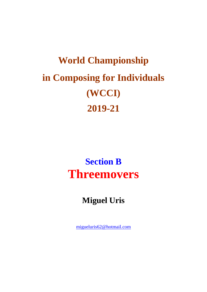# **World Championship** in Composing for Individuals (WCCI) 2019-21

### **Section B Threemovers**

### **Miguel Uris**

migueluris62@hotmail.com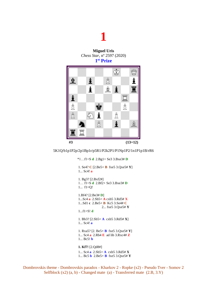## **1**

**Miguel Uris** *Chess Star*, nº 2597 (2020) **1 st Prize**



#### 5K1Q/b1p1P2p/2p1Bp1r/p5R1/P2k2P1/P1Np1P2/1n1P1p1B/rR6

\*1…f1=S **d** 2.Bg1+ Se3 3.Bxe3# **D** 1. Se4? **C** [2.Be5+ **B** fxe5 3.Qxe5# **Y**] 1... Sc4! **a** 1. Bg3? [2.Bxf2#] 1… f1=S **d** 2.Bf2+ Se3 3.Bxe3# **D** 1... f1=Q! 1.Bf4? [2.Be3# **D**] 1...Sc4 **a** 2.Sb5+ **A** cxb5 3.Rd5# **X** 1...Sd1 **c** 2.Be5+ **B** Kc5 3.Se4# **C** 2... fxe5 3.Qxe5# **Y** 1...f1=S! **d** 1. Bb3? [2.Sb5+ **A** cxb5 3.Rd5# **X**] 1... Sc4! **a** 1. Rxa5? [2. Be5+ **B** fxe5 3.Qxe5# **Y**] 1... Sc4 **a** 2.Rb4 **E** ad lib 3.Rxc4# **Z** 1... Bc5! **b 1. Kf7!** [2.Qd8#] 1... Sc4 **a** 2.Sb5+ **A** cxb5 3.Rd5# **X** 1... Bc5 **b** 2.Be5+ **B** fxe5 3.Qxe5# **Y**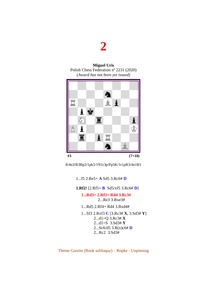### **2**

**Miguel Uris** Polish Chess Federation nº 2231 (2020) *(Award has not been yet issued)*



8/4n3/R3Bp2/1pk5/1N1r3p/Pp5K/1r1pR3/4n1B1

1...f5 2.Re5+ **A** Sd5 3.Rc6# **D**

**1.Rf2!** [2.Rf5+ **B** Sd5/xf5 3.Rc6# **D**]

#### **1...Rd3+ 2.Rf3+ Rd4 3.Rc3#**  2...Re3 3.Bxe3#

1...Rd5 2.Rf4+ Rd4 3.Bxd4#

 1...Sf3 2.Rxf3 **C** [3.Rc3# **X**, 3.Sd3# **Y**] 2...d1=Q 3.Rc3# **X** 2...d1=S 3.Sd3# **Y** 2...Sc6/d5 3.R(x)c6# **D** 2...Rc2 3.Sd3#

Theme Garzón (Rook soliloquy) – Ropke - Unpinning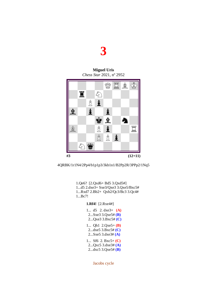

**Miguel Uris** *Chess Star* 2021, nº 2952



4QRBK/1r1N4/2Pp4/b1p1p3/3kb1n1/B2Pp2R/3PPp2/1Nq5

1.Qe6? [2.Qxd6+ Bd5 3.Qxd5#] 1...d5 2.dxe3+ Sxe3/Qxe3 3.Qxe5/Bxc5# 1...Rxd7 2.Bb2+ Qxb2/Qc3/Bc3 3.Qc4# 1...Bc7!

**1.Rf4!** [2.Rxe4#]

| 1 $d5$ 2. $dxe3+$ (A)<br>2Sxe3 3.Qxe5# $(B)$<br>2 $Qxe3$ 3.Bxc5# $(C)$    |
|---------------------------------------------------------------------------|
| 1 Qh1 2.Qxe5+ ( <b>B</b> )<br>2dxe5 3.Bxc5# $(C)$<br>2Sxe5 3.dxe3# $(A)$  |
| 1 Sf6 2. Bxc5+ $(C)$<br>2 $Qxc5$ 3.dxe3# $(A)$<br>2 $dxc5$ 3. $Qxe5# (B)$ |

Jacobs cycle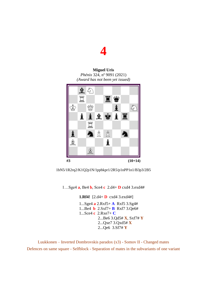## **4**

#### **Miguel Uris** *Phénix* 324, nº 9091 (2021) *(Award has not been yet issued)*





1…Sge4 **a**, Be4 **b**, Sce4 **c** 2.d4+ **D** cxd4 3.exd4#

**1.Rf4!** [2.d4+ **D** cxd4 3.exd4#] 1...Sge4 **a** 2.Rxf5+ **A** Rxf5 3.Sg4# 1...Be4 **b** 2.Sxf7+ **B** Rxf7 3.Qe6# 1...Sce4 **c** 2.Rxe7+ **C** 2...Be6 3.Qd5# **X**, Sxf7# **Y** 2...Qxe7 3.Qxd5# **X** 2...Qe6 3.Sf7# **Y**

Luukkonen – Inverted Dombrovskis paradox (x3) - Somov II - Changed mates Defences on same square - Selfblock - Separation of mates in the subvariants of one variant